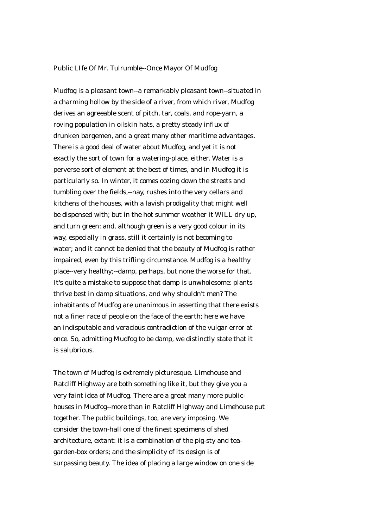## Public LIfe Of Mr. Tulrumble--Once Mayor Of Mudfog

Mudfog is a pleasant town--a remarkably pleasant town--situated in a charming hollow by the side of a river, from which river, Mudfog derives an agreeable scent of pitch, tar, coals, and rope-yarn, a roving population in oilskin hats, a pretty steady influx of drunken bargemen, and a great many other maritime advantages. There is a good deal of water about Mudfog, and yet it is not exactly the sort of town for a watering-place, either. Water is a perverse sort of element at the best of times, and in Mudfog it is particularly so. In winter, it comes oozing down the streets and tumbling over the fields,--nay, rushes into the very cellars and kitchens of the houses, with a lavish prodigality that might well be dispensed with; but in the hot summer weather it WILL dry up, and turn green: and, although green is a very good colour in its way, especially in grass, still it certainly is not becoming to water; and it cannot be denied that the beauty of Mudfog is rather impaired, even by this trifling circumstance. Mudfog is a healthy place--very healthy;--damp, perhaps, but none the worse for that. It's quite a mistake to suppose that damp is unwholesome: plants thrive best in damp situations, and why shouldn't men? The inhabitants of Mudfog are unanimous in asserting that there exists not a finer race of people on the face of the earth; here we have an indisputable and veracious contradiction of the vulgar error at once. So, admitting Mudfog to be damp, we distinctly state that it is salubrious.

The town of Mudfog is extremely picturesque. Limehouse and Ratcliff Highway are both something like it, but they give you a very faint idea of Mudfog. There are a great many more publichouses in Mudfog--more than in Ratcliff Highway and Limehouse put together. The public buildings, too, are very imposing. We consider the town-hall one of the finest specimens of shed architecture, extant: it is a combination of the pig-sty and teagarden-box orders; and the simplicity of its design is of surpassing beauty. The idea of placing a large window on one side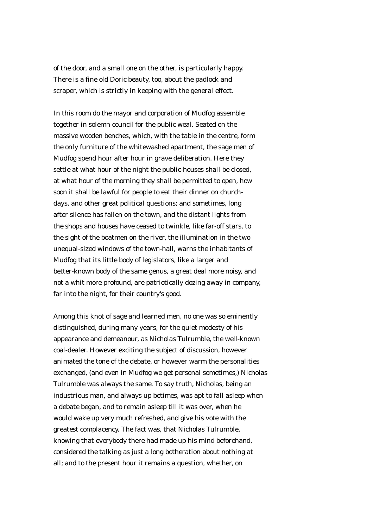of the door, and a small one on the other, is particularly happy. There is a fine old Doric beauty, too, about the padlock and scraper, which is strictly in keeping with the general effect.

In this room do the mayor and corporation of Mudfog assemble together in solemn council for the public weal. Seated on the massive wooden benches, which, with the table in the centre, form the only furniture of the whitewashed apartment, the sage men of Mudfog spend hour after hour in grave deliberation. Here they settle at what hour of the night the public-houses shall be closed, at what hour of the morning they shall be permitted to open, how soon it shall be lawful for people to eat their dinner on churchdays, and other great political questions; and sometimes, long after silence has fallen on the town, and the distant lights from the shops and houses have ceased to twinkle, like far-off stars, to the sight of the boatmen on the river, the illumination in the two unequal-sized windows of the town-hall, warns the inhabitants of Mudfog that its little body of legislators, like a larger and better-known body of the same genus, a great deal more noisy, and not a whit more profound, are patriotically dozing away in company, far into the night, for their country's good.

Among this knot of sage and learned men, no one was so eminently distinguished, during many years, for the quiet modesty of his appearance and demeanour, as Nicholas Tulrumble, the well-known coal-dealer. However exciting the subject of discussion, however animated the tone of the debate, or however warm the personalities exchanged, (and even in Mudfog we get personal sometimes,) Nicholas Tulrumble was always the same. To say truth, Nicholas, being an industrious man, and always up betimes, was apt to fall asleep when a debate began, and to remain asleep till it was over, when he would wake up very much refreshed, and give his vote with the greatest complacency. The fact was, that Nicholas Tulrumble, knowing that everybody there had made up his mind beforehand, considered the talking as just a long botheration about nothing at all; and to the present hour it remains a question, whether, on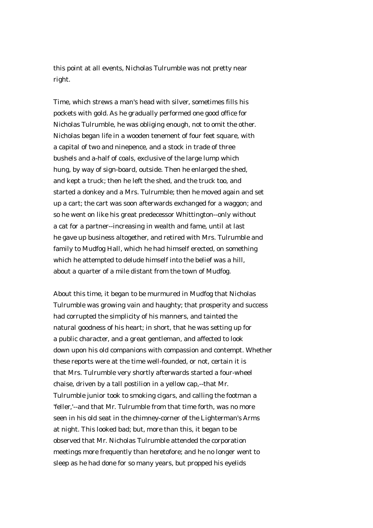this point at all events, Nicholas Tulrumble was not pretty near right.

Time, which strews a man's head with silver, sometimes fills his pockets with gold. As he gradually performed one good office for Nicholas Tulrumble, he was obliging enough, not to omit the other. Nicholas began life in a wooden tenement of four feet square, with a capital of two and ninepence, and a stock in trade of three bushels and a-half of coals, exclusive of the large lump which hung, by way of sign-board, outside. Then he enlarged the shed, and kept a truck; then he left the shed, and the truck too, and started a donkey and a Mrs. Tulrumble; then he moved again and set up a cart; the cart was soon afterwards exchanged for a waggon; and so he went on like his great predecessor Whittington--only without a cat for a partner--increasing in wealth and fame, until at last he gave up business altogether, and retired with Mrs. Tulrumble and family to Mudfog Hall, which he had himself erected, on something which he attempted to delude himself into the belief was a hill, about a quarter of a mile distant from the town of Mudfog.

About this time, it began to be murmured in Mudfog that Nicholas Tulrumble was growing vain and haughty; that prosperity and success had corrupted the simplicity of his manners, and tainted the natural goodness of his heart; in short, that he was setting up for a public character, and a great gentleman, and affected to look down upon his old companions with compassion and contempt. Whether these reports were at the time well-founded, or not, certain it is that Mrs. Tulrumble very shortly afterwards started a four-wheel chaise, driven by a tall postilion in a yellow cap,--that Mr. Tulrumble junior took to smoking cigars, and calling the footman a 'feller,'--and that Mr. Tulrumble from that time forth, was no more seen in his old seat in the chimney-corner of the Lighterman's Arms at night. This looked bad; but, more than this, it began to be observed that Mr. Nicholas Tulrumble attended the corporation meetings more frequently than heretofore; and he no longer went to sleep as he had done for so many years, but propped his eyelids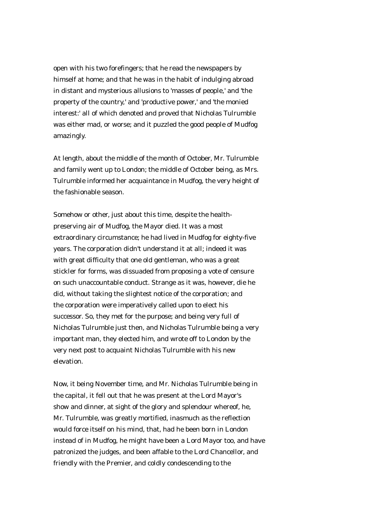open with his two forefingers; that he read the newspapers by himself at home; and that he was in the habit of indulging abroad in distant and mysterious allusions to 'masses of people,' and 'the property of the country,' and 'productive power,' and 'the monied interest:' all of which denoted and proved that Nicholas Tulrumble was either mad, or worse; and it puzzled the good people of Mudfog amazingly.

At length, about the middle of the month of October, Mr. Tulrumble and family went up to London; the middle of October being, as Mrs. Tulrumble informed her acquaintance in Mudfog, the very height of the fashionable season.

Somehow or other, just about this time, despite the healthpreserving air of Mudfog, the Mayor died. It was a most extraordinary circumstance; he had lived in Mudfog for eighty-five years. The corporation didn't understand it at all; indeed it was with great difficulty that one old gentleman, who was a great stickler for forms, was dissuaded from proposing a vote of censure on such unaccountable conduct. Strange as it was, however, die he did, without taking the slightest notice of the corporation; and the corporation were imperatively called upon to elect his successor. So, they met for the purpose; and being very full of Nicholas Tulrumble just then, and Nicholas Tulrumble being a very important man, they elected him, and wrote off to London by the very next post to acquaint Nicholas Tulrumble with his new elevation.

Now, it being November time, and Mr. Nicholas Tulrumble being in the capital, it fell out that he was present at the Lord Mayor's show and dinner, at sight of the glory and splendour whereof, he, Mr. Tulrumble, was greatly mortified, inasmuch as the reflection would force itself on his mind, that, had he been born in London instead of in Mudfog, he might have been a Lord Mayor too, and have patronized the judges, and been affable to the Lord Chancellor, and friendly with the Premier, and coldly condescending to the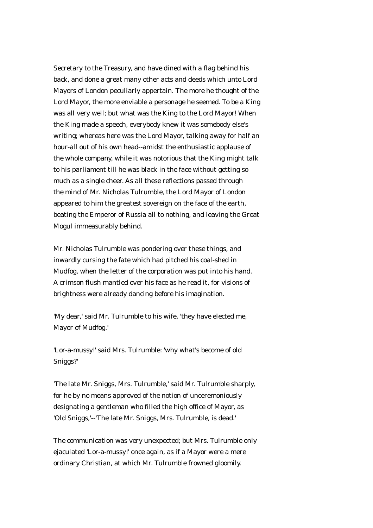Secretary to the Treasury, and have dined with a flag behind his back, and done a great many other acts and deeds which unto Lord Mayors of London peculiarly appertain. The more he thought of the Lord Mayor, the more enviable a personage he seemed. To be a King was all very well; but what was the King to the Lord Mayor! When the King made a speech, everybody knew it was somebody else's writing; whereas here was the Lord Mayor, talking away for half an hour-all out of his own head--amidst the enthusiastic applause of the whole company, while it was notorious that the King might talk to his parliament till he was black in the face without getting so much as a single cheer. As all these reflections passed through the mind of Mr. Nicholas Tulrumble, the Lord Mayor of London appeared to him the greatest sovereign on the face of the earth, beating the Emperor of Russia all to nothing, and leaving the Great Mogul immeasurably behind.

Mr. Nicholas Tulrumble was pondering over these things, and inwardly cursing the fate which had pitched his coal-shed in Mudfog, when the letter of the corporation was put into his hand. A crimson flush mantled over his face as he read it, for visions of brightness were already dancing before his imagination.

'My dear,' said Mr. Tulrumble to his wife, 'they have elected me, Mayor of Mudfog.'

'Lor-a-mussy!' said Mrs. Tulrumble: 'why what's become of old Sniggs?'

'The late Mr. Sniggs, Mrs. Tulrumble,' said Mr. Tulrumble sharply, for he by no means approved of the notion of unceremoniously designating a gentleman who filled the high office of Mayor, as 'Old Sniggs,'--'The late Mr. Sniggs, Mrs. Tulrumble, is dead.'

The communication was very unexpected; but Mrs. Tulrumble only ejaculated 'Lor-a-mussy!' once again, as if a Mayor were a mere ordinary Christian, at which Mr. Tulrumble frowned gloomily.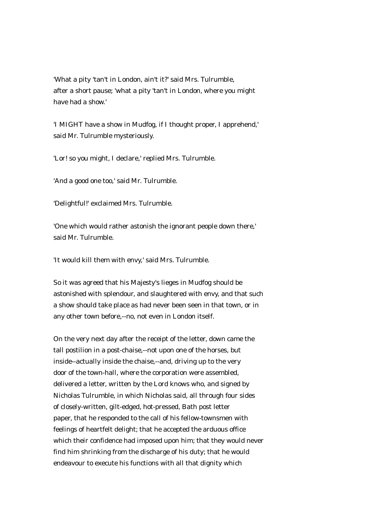'What a pity 'tan't in London, ain't it?' said Mrs. Tulrumble, after a short pause; 'what a pity 'tan't in London, where you might have had a show.'

'I MIGHT have a show in Mudfog, if I thought proper, I apprehend,' said Mr. Tulrumble mysteriously.

'Lor! so you might, I declare,' replied Mrs. Tulrumble.

'And a good one too,' said Mr. Tulrumble.

'Delightful!' exclaimed Mrs. Tulrumble.

'One which would rather astonish the ignorant people down there,' said Mr. Tulrumble.

'It would kill them with envy,' said Mrs. Tulrumble.

So it was agreed that his Majesty's lieges in Mudfog should be astonished with splendour, and slaughtered with envy, and that such a show should take place as had never been seen in that town, or in any other town before,--no, not even in London itself.

On the very next day after the receipt of the letter, down came the tall postilion in a post-chaise,--not upon one of the horses, but inside--actually inside the chaise,--and, driving up to the very door of the town-hall, where the corporation were assembled, delivered a letter, written by the Lord knows who, and signed by Nicholas Tulrumble, in which Nicholas said, all through four sides of closely-written, gilt-edged, hot-pressed, Bath post letter paper, that he responded to the call of his fellow-townsmen with feelings of heartfelt delight; that he accepted the arduous office which their confidence had imposed upon him; that they would never find him shrinking from the discharge of his duty; that he would endeavour to execute his functions with all that dignity which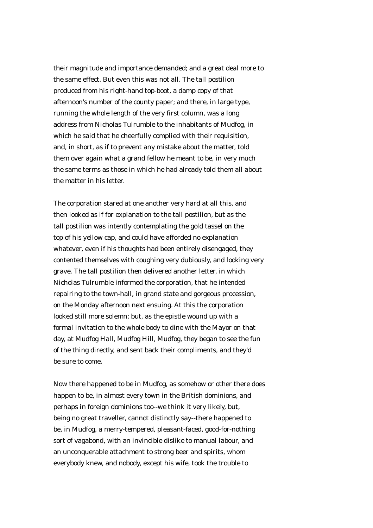their magnitude and importance demanded; and a great deal more to the same effect. But even this was not all. The tall postilion produced from his right-hand top-boot, a damp copy of that afternoon's number of the county paper; and there, in large type, running the whole length of the very first column, was a long address from Nicholas Tulrumble to the inhabitants of Mudfog, in which he said that he cheerfully complied with their requisition, and, in short, as if to prevent any mistake about the matter, told them over again what a grand fellow he meant to be, in very much the same terms as those in which he had already told them all about the matter in his letter.

The corporation stared at one another very hard at all this, and then looked as if for explanation to the tall postilion, but as the tall postilion was intently contemplating the gold tassel on the top of his yellow cap, and could have afforded no explanation whatever, even if his thoughts had been entirely disengaged, they contented themselves with coughing very dubiously, and looking very grave. The tall postilion then delivered another letter, in which Nicholas Tulrumble informed the corporation, that he intended repairing to the town-hall, in grand state and gorgeous procession, on the Monday afternoon next ensuing. At this the corporation looked still more solemn; but, as the epistle wound up with a formal invitation to the whole body to dine with the Mayor on that day, at Mudfog Hall, Mudfog Hill, Mudfog, they began to see the fun of the thing directly, and sent back their compliments, and they'd be sure to come.

Now there happened to be in Mudfog, as somehow or other there does happen to be, in almost every town in the British dominions, and perhaps in foreign dominions too--we think it very likely, but, being no great traveller, cannot distinctly say--there happened to be, in Mudfog, a merry-tempered, pleasant-faced, good-for-nothing sort of vagabond, with an invincible dislike to manual labour, and an unconquerable attachment to strong beer and spirits, whom everybody knew, and nobody, except his wife, took the trouble to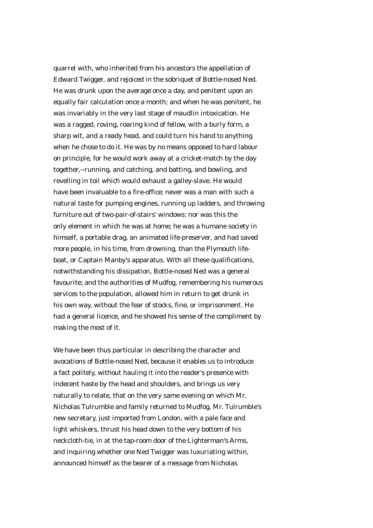quarrel with, who inherited from his ancestors the appellation of Edward Twigger, and rejoiced in the sobriquet of Bottle-nosed Ned. He was drunk upon the average once a day, and penitent upon an equally fair calculation once a month; and when he was penitent, he was invariably in the very last stage of maudlin intoxication. He was a ragged, roving, roaring kind of fellow, with a burly form, a sharp wit, and a ready head, and could turn his hand to anything when he chose to do it. He was by no means opposed to hard labour on principle, for he would work away at a cricket-match by the day together,--running, and catching, and batting, and bowling, and revelling in toil which would exhaust a galley-slave. He would have been invaluable to a fire-office; never was a man with such a natural taste for pumping engines, running up ladders, and throwing furniture out of two-pair-of-stairs' windows: nor was this the only element in which he was at home; he was a humane society in himself, a portable drag, an animated life-preserver, and had saved more people, in his time, from drowning, than the Plymouth lifeboat, or Captain Manby's apparatus. With all these qualifications, notwithstanding his dissipation, Bottle-nosed Ned was a general favourite; and the authorities of Mudfog, remembering his numerous services to the population, allowed him in return to get drunk in his own way, without the fear of stocks, fine, or imprisonment. He had a general licence, and he showed his sense of the compliment by making the most of it.

We have been thus particular in describing the character and avocations of Bottle-nosed Ned, because it enables us to introduce a fact politely, without hauling it into the reader's presence with indecent haste by the head and shoulders, and brings us very naturally to relate, that on the very same evening on which Mr. Nicholas Tulrumble and family returned to Mudfog, Mr. Tulrumble's new secretary, just imported from London, with a pale face and light whiskers, thrust his head down to the very bottom of his neckcloth-tie, in at the tap-room door of the Lighterman's Arms, and inquiring whether one Ned Twigger was luxuriating within, announced himself as the bearer of a message from Nicholas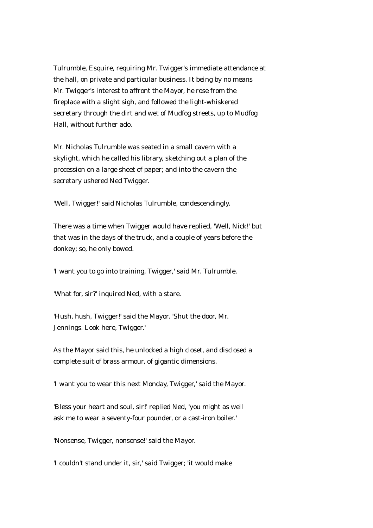Tulrumble, Esquire, requiring Mr. Twigger's immediate attendance at the hall, on private and particular business. It being by no means Mr. Twigger's interest to affront the Mayor, he rose from the fireplace with a slight sigh, and followed the light-whiskered secretary through the dirt and wet of Mudfog streets, up to Mudfog Hall, without further ado.

Mr. Nicholas Tulrumble was seated in a small cavern with a skylight, which he called his library, sketching out a plan of the procession on a large sheet of paper; and into the cavern the secretary ushered Ned Twigger.

'Well, Twigger!' said Nicholas Tulrumble, condescendingly.

There was a time when Twigger would have replied, 'Well, Nick!' but that was in the days of the truck, and a couple of years before the donkey; so, he only bowed.

'I want you to go into training, Twigger,' said Mr. Tulrumble.

'What for, sir?' inquired Ned, with a stare.

'Hush, hush, Twigger!' said the Mayor. 'Shut the door, Mr. Jennings. Look here, Twigger.'

As the Mayor said this, he unlocked a high closet, and disclosed a complete suit of brass armour, of gigantic dimensions.

'I want you to wear this next Monday, Twigger,' said the Mayor.

'Bless your heart and soul, sir!' replied Ned, 'you might as well ask me to wear a seventy-four pounder, or a cast-iron boiler.'

'Nonsense, Twigger, nonsense!' said the Mayor.

'I couldn't stand under it, sir,' said Twigger; 'it would make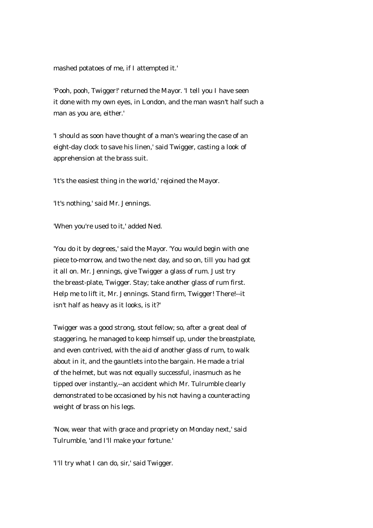mashed potatoes of me, if I attempted it.'

'Pooh, pooh, Twigger!' returned the Mayor. 'I tell you I have seen it done with my own eyes, in London, and the man wasn't half such a man as you are, either.'

'I should as soon have thought of a man's wearing the case of an eight-day clock to save his linen,' said Twigger, casting a look of apprehension at the brass suit.

'It's the easiest thing in the world,' rejoined the Mayor.

'It's nothing,' said Mr. Jennings.

'When you're used to it,' added Ned.

'You do it by degrees,' said the Mayor. 'You would begin with one piece to-morrow, and two the next day, and so on, till you had got it all on. Mr. Jennings, give Twigger a glass of rum. Just try the breast-plate, Twigger. Stay; take another glass of rum first. Help me to lift it, Mr. Jennings. Stand firm, Twigger! There!--it isn't half as heavy as it looks, is it?'

Twigger was a good strong, stout fellow; so, after a great deal of staggering, he managed to keep himself up, under the breastplate, and even contrived, with the aid of another glass of rum, to walk about in it, and the gauntlets into the bargain. He made a trial of the helmet, but was not equally successful, inasmuch as he tipped over instantly,--an accident which Mr. Tulrumble clearly demonstrated to be occasioned by his not having a counteracting weight of brass on his legs.

'Now, wear that with grace and propriety on Monday next,' said Tulrumble, 'and I'll make your fortune.'

'I'll try what I can do, sir,' said Twigger.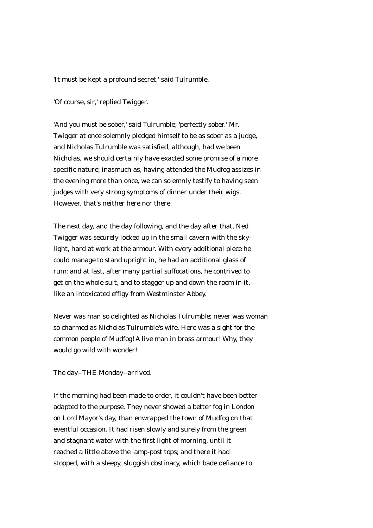'It must be kept a profound secret,' said Tulrumble.

'Of course, sir,' replied Twigger.

'And you must be sober,' said Tulrumble; 'perfectly sober.' Mr. Twigger at once solemnly pledged himself to be as sober as a judge, and Nicholas Tulrumble was satisfied, although, had we been Nicholas, we should certainly have exacted some promise of a more specific nature; inasmuch as, having attended the Mudfog assizes in the evening more than once, we can solemnly testify to having seen judges with very strong symptoms of dinner under their wigs. However, that's neither here nor there.

The next day, and the day following, and the day after that, Ned Twigger was securely locked up in the small cavern with the skylight, hard at work at the armour. With every additional piece he could manage to stand upright in, he had an additional glass of rum; and at last, after many partial suffocations, he contrived to get on the whole suit, and to stagger up and down the room in it, like an intoxicated effigy from Westminster Abbey.

Never was man so delighted as Nicholas Tulrumble; never was woman so charmed as Nicholas Tulrumble's wife. Here was a sight for the common people of Mudfog! A live man in brass armour! Why, they would go wild with wonder!

The day--THE Monday--arrived.

If the morning had been made to order, it couldn't have been better adapted to the purpose. They never showed a better fog in London on Lord Mayor's day, than enwrapped the town of Mudfog on that eventful occasion. It had risen slowly and surely from the green and stagnant water with the first light of morning, until it reached a little above the lamp-post tops; and there it had stopped, with a sleepy, sluggish obstinacy, which bade defiance to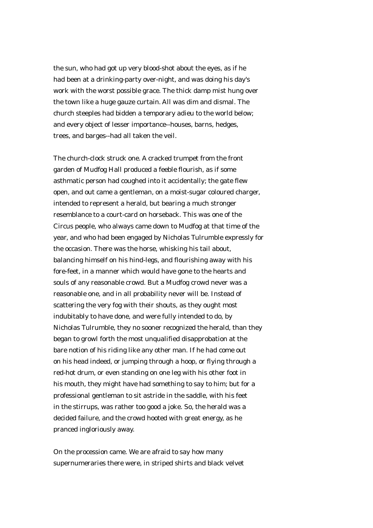the sun, who had got up very blood-shot about the eyes, as if he had been at a drinking-party over-night, and was doing his day's work with the worst possible grace. The thick damp mist hung over the town like a huge gauze curtain. All was dim and dismal. The church steeples had bidden a temporary adieu to the world below; and every object of lesser importance--houses, barns, hedges, trees, and barges--had all taken the veil.

The church-clock struck one. A cracked trumpet from the front garden of Mudfog Hall produced a feeble flourish, as if some asthmatic person had coughed into it accidentally; the gate flew open, and out came a gentleman, on a moist-sugar coloured charger, intended to represent a herald, but bearing a much stronger resemblance to a court-card on horseback. This was one of the Circus people, who always came down to Mudfog at that time of the year, and who had been engaged by Nicholas Tulrumble expressly for the occasion. There was the horse, whisking his tail about, balancing himself on his hind-legs, and flourishing away with his fore-feet, in a manner which would have gone to the hearts and souls of any reasonable crowd. But a Mudfog crowd never was a reasonable one, and in all probability never will be. Instead of scattering the very fog with their shouts, as they ought most indubitably to have done, and were fully intended to do, by Nicholas Tulrumble, they no sooner recognized the herald, than they began to growl forth the most unqualified disapprobation at the bare notion of his riding like any other man. If he had come out on his head indeed, or jumping through a hoop, or flying through a red-hot drum, or even standing on one leg with his other foot in his mouth, they might have had something to say to him; but for a professional gentleman to sit astride in the saddle, with his feet in the stirrups, was rather too good a joke. So, the herald was a decided failure, and the crowd hooted with great energy, as he pranced ingloriously away.

On the procession came. We are afraid to say how many supernumeraries there were, in striped shirts and black velvet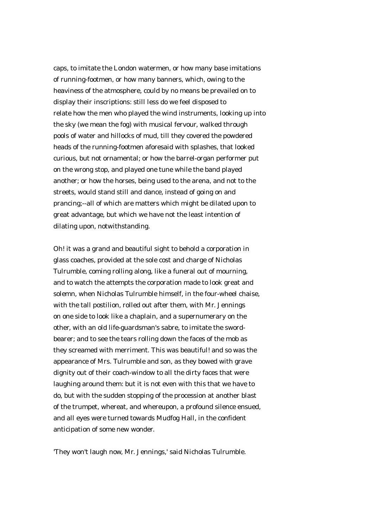caps, to imitate the London watermen, or how many base imitations of running-footmen, or how many banners, which, owing to the heaviness of the atmosphere, could by no means be prevailed on to display their inscriptions: still less do we feel disposed to relate how the men who played the wind instruments, looking up into the sky (we mean the fog) with musical fervour, walked through pools of water and hillocks of mud, till they covered the powdered heads of the running-footmen aforesaid with splashes, that looked curious, but not ornamental; or how the barrel-organ performer put on the wrong stop, and played one tune while the band played another; or how the horses, being used to the arena, and not to the streets, would stand still and dance, instead of going on and prancing;--all of which are matters which might be dilated upon to great advantage, but which we have not the least intention of dilating upon, notwithstanding.

Oh! it was a grand and beautiful sight to behold a corporation in glass coaches, provided at the sole cost and charge of Nicholas Tulrumble, coming rolling along, like a funeral out of mourning, and to watch the attempts the corporation made to look great and solemn, when Nicholas Tulrumble himself, in the four-wheel chaise, with the tall postilion, rolled out after them, with Mr. Jennings on one side to look like a chaplain, and a supernumerary on the other, with an old life-guardsman's sabre, to imitate the swordbearer; and to see the tears rolling down the faces of the mob as they screamed with merriment. This was beautiful! and so was the appearance of Mrs. Tulrumble and son, as they bowed with grave dignity out of their coach-window to all the dirty faces that were laughing around them: but it is not even with this that we have to do, but with the sudden stopping of the procession at another blast of the trumpet, whereat, and whereupon, a profound silence ensued, and all eyes were turned towards Mudfog Hall, in the confident anticipation of some new wonder.

'They won't laugh now, Mr. Jennings,' said Nicholas Tulrumble.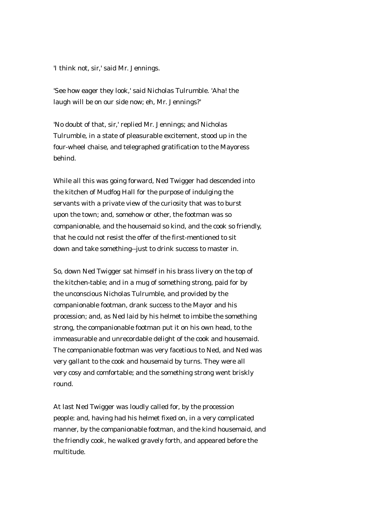'I think not, sir,' said Mr. Jennings.

'See how eager they look,' said Nicholas Tulrumble. 'Aha! the laugh will be on our side now; eh, Mr. Jennings?'

'No doubt of that, sir,' replied Mr. Jennings; and Nicholas Tulrumble, in a state of pleasurable excitement, stood up in the four-wheel chaise, and telegraphed gratification to the Mayoress behind.

While all this was going forward, Ned Twigger had descended into the kitchen of Mudfog Hall for the purpose of indulging the servants with a private view of the curiosity that was to burst upon the town; and, somehow or other, the footman was so companionable, and the housemaid so kind, and the cook so friendly, that he could not resist the offer of the first-mentioned to sit down and take something--just to drink success to master in.

So, down Ned Twigger sat himself in his brass livery on the top of the kitchen-table; and in a mug of something strong, paid for by the unconscious Nicholas Tulrumble, and provided by the companionable footman, drank success to the Mayor and his procession; and, as Ned laid by his helmet to imbibe the something strong, the companionable footman put it on his own head, to the immeasurable and unrecordable delight of the cook and housemaid. The companionable footman was very facetious to Ned, and Ned was very gallant to the cook and housemaid by turns. They were all very cosy and comfortable; and the something strong went briskly round.

At last Ned Twigger was loudly called for, by the procession people: and, having had his helmet fixed on, in a very complicated manner, by the companionable footman, and the kind housemaid, and the friendly cook, he walked gravely forth, and appeared before the multitude.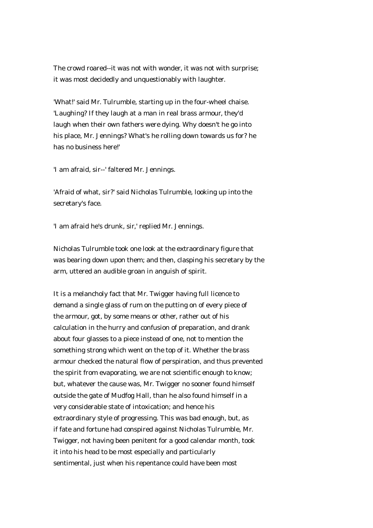The crowd roared--it was not with wonder, it was not with surprise; it was most decidedly and unquestionably with laughter.

'What!' said Mr. Tulrumble, starting up in the four-wheel chaise. 'Laughing? If they laugh at a man in real brass armour, they'd laugh when their own fathers were dying. Why doesn't he go into his place, Mr. Jennings? What's he rolling down towards us for? he has no business here!'

'I am afraid, sir--' faltered Mr. Jennings.

'Afraid of what, sir?' said Nicholas Tulrumble, looking up into the secretary's face.

'I am afraid he's drunk, sir,' replied Mr. Jennings.

Nicholas Tulrumble took one look at the extraordinary figure that was bearing down upon them; and then, clasping his secretary by the arm, uttered an audible groan in anguish of spirit.

It is a melancholy fact that Mr. Twigger having full licence to demand a single glass of rum on the putting on of every piece of the armour, got, by some means or other, rather out of his calculation in the hurry and confusion of preparation, and drank about four glasses to a piece instead of one, not to mention the something strong which went on the top of it. Whether the brass armour checked the natural flow of perspiration, and thus prevented the spirit from evaporating, we are not scientific enough to know; but, whatever the cause was, Mr. Twigger no sooner found himself outside the gate of Mudfog Hall, than he also found himself in a very considerable state of intoxication; and hence his extraordinary style of progressing. This was bad enough, but, as if fate and fortune had conspired against Nicholas Tulrumble, Mr. Twigger, not having been penitent for a good calendar month, took it into his head to be most especially and particularly sentimental, just when his repentance could have been most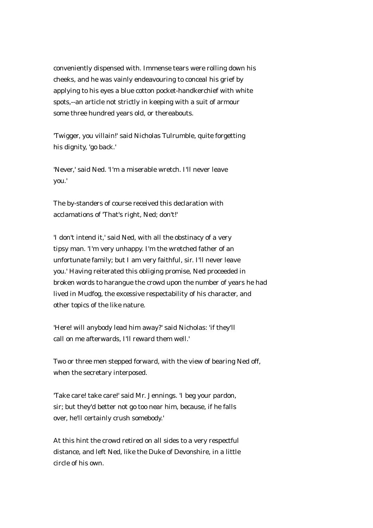conveniently dispensed with. Immense tears were rolling down his cheeks, and he was vainly endeavouring to conceal his grief by applying to his eyes a blue cotton pocket-handkerchief with white spots,--an article not strictly in keeping with a suit of armour some three hundred years old, or thereabouts.

'Twigger, you villain!' said Nicholas Tulrumble, quite forgetting his dignity, 'go back.'

'Never,' said Ned. 'I'm a miserable wretch. I'll never leave you.'

The by-standers of course received this declaration with acclamations of 'That's right, Ned; don't!'

'I don't intend it,' said Ned, with all the obstinacy of a very tipsy man. 'I'm very unhappy. I'm the wretched father of an unfortunate family; but I am very faithful, sir. I'll never leave you.' Having reiterated this obliging promise, Ned proceeded in broken words to harangue the crowd upon the number of years he had lived in Mudfog, the excessive respectability of his character, and other topics of the like nature.

'Here! will anybody lead him away?' said Nicholas: 'if they'll call on me afterwards, I'll reward them well.'

Two or three men stepped forward, with the view of bearing Ned off, when the secretary interposed.

'Take care! take care!' said Mr. Jennings. 'I beg your pardon, sir; but they'd better not go too near him, because, if he falls over, he'll certainly crush somebody.'

At this hint the crowd retired on all sides to a very respectful distance, and left Ned, like the Duke of Devonshire, in a little circle of his own.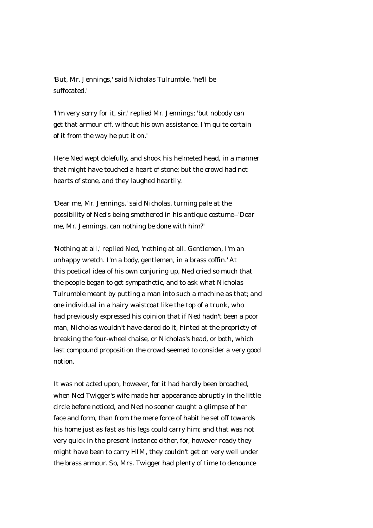'But, Mr. Jennings,' said Nicholas Tulrumble, 'he'll be suffocated.'

'I'm very sorry for it, sir,' replied Mr. Jennings; 'but nobody can get that armour off, without his own assistance. I'm quite certain of it from the way he put it on.'

Here Ned wept dolefully, and shook his helmeted head, in a manner that might have touched a heart of stone; but the crowd had not hearts of stone, and they laughed heartily.

'Dear me, Mr. Jennings,' said Nicholas, turning pale at the possibility of Ned's being smothered in his antique costume--'Dear me, Mr. Jennings, can nothing be done with him?'

'Nothing at all,' replied Ned, 'nothing at all. Gentlemen, I'm an unhappy wretch. I'm a body, gentlemen, in a brass coffin.' At this poetical idea of his own conjuring up, Ned cried so much that the people began to get sympathetic, and to ask what Nicholas Tulrumble meant by putting a man into such a machine as that; and one individual in a hairy waistcoat like the top of a trunk, who had previously expressed his opinion that if Ned hadn't been a poor man, Nicholas wouldn't have dared do it, hinted at the propriety of breaking the four-wheel chaise, or Nicholas's head, or both, which last compound proposition the crowd seemed to consider a very good notion.

It was not acted upon, however, for it had hardly been broached, when Ned Twigger's wife made her appearance abruptly in the little circle before noticed, and Ned no sooner caught a glimpse of her face and form, than from the mere force of habit he set off towards his home just as fast as his legs could carry him; and that was not very quick in the present instance either, for, however ready they might have been to carry HIM, they couldn't get on very well under the brass armour. So, Mrs. Twigger had plenty of time to denounce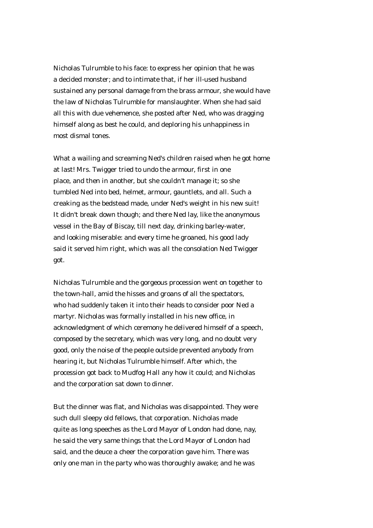Nicholas Tulrumble to his face: to express her opinion that he was a decided monster; and to intimate that, if her ill-used husband sustained any personal damage from the brass armour, she would have the law of Nicholas Tulrumble for manslaughter. When she had said all this with due vehemence, she posted after Ned, who was dragging himself along as best he could, and deploring his unhappiness in most dismal tones.

What a wailing and screaming Ned's children raised when he got home at last! Mrs. Twigger tried to undo the armour, first in one place, and then in another, but she couldn't manage it; so she tumbled Ned into bed, helmet, armour, gauntlets, and all. Such a creaking as the bedstead made, under Ned's weight in his new suit! It didn't break down though; and there Ned lay, like the anonymous vessel in the Bay of Biscay, till next day, drinking barley-water, and looking miserable: and every time he groaned, his good lady said it served him right, which was all the consolation Ned Twigger got.

Nicholas Tulrumble and the gorgeous procession went on together to the town-hall, amid the hisses and groans of all the spectators, who had suddenly taken it into their heads to consider poor Ned a martyr. Nicholas was formally installed in his new office, in acknowledgment of which ceremony he delivered himself of a speech, composed by the secretary, which was very long, and no doubt very good, only the noise of the people outside prevented anybody from hearing it, but Nicholas Tulrumble himself. After which, the procession got back to Mudfog Hall any how it could; and Nicholas and the corporation sat down to dinner.

But the dinner was flat, and Nicholas was disappointed. They were such dull sleepy old fellows, that corporation. Nicholas made quite as long speeches as the Lord Mayor of London had done, nay, he said the very same things that the Lord Mayor of London had said, and the deuce a cheer the corporation gave him. There was only one man in the party who was thoroughly awake; and he was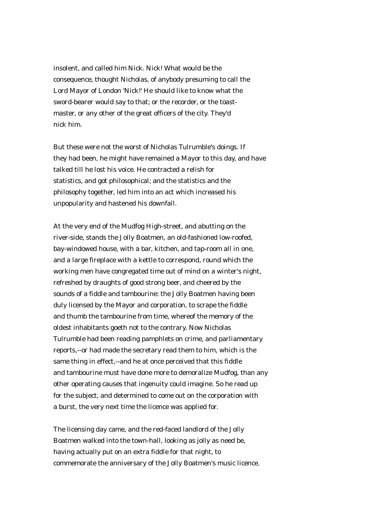insolent, and called him Nick. Nick! What would be the consequence, thought Nicholas, of anybody presuming to call the Lord Mayor of London 'Nick!' He should like to know what the sword-bearer would say to that; or the recorder, or the toastmaster, or any other of the great officers of the city. They'd nick him.

But these were not the worst of Nicholas Tulrumble's doings. If they had been, he might have remained a Mayor to this day, and have talked till he lost his voice. He contracted a relish for statistics, and got philosophical; and the statistics and the philosophy together, led him into an act which increased his unpopularity and hastened his downfall.

At the very end of the Mudfog High-street, and abutting on the river-side, stands the Jolly Boatmen, an old-fashioned low-roofed, bay-windowed house, with a bar, kitchen, and tap-room all in one, and a large fireplace with a kettle to correspond, round which the working men have congregated time out of mind on a winter's night, refreshed by draughts of good strong beer, and cheered by the sounds of a fiddle and tambourine: the Jolly Boatmen having been duly licensed by the Mayor and corporation, to scrape the fiddle and thumb the tambourine from time, whereof the memory of the oldest inhabitants goeth not to the contrary. Now Nicholas Tulrumble had been reading pamphlets on crime, and parliamentary reports,--or had made the secretary read them to him, which is the same thing in effect,--and he at once perceived that this fiddle and tambourine must have done more to demoralize Mudfog, than any other operating causes that ingenuity could imagine. So he read up for the subject, and determined to come out on the corporation with a burst, the very next time the licence was applied for.

The licensing day came, and the red-faced landlord of the Jolly Boatmen walked into the town-hall, looking as jolly as need be, having actually put on an extra fiddle for that night, to commemorate the anniversary of the Jolly Boatmen's music licence.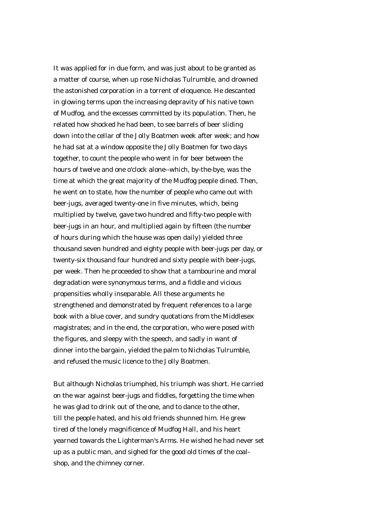It was applied for in due form, and was just about to be granted as a matter of course, when up rose Nicholas Tulrumble, and drowned the astonished corporation in a torrent of eloquence. He descanted in glowing terms upon the increasing depravity of his native town of Mudfog, and the excesses committed by its population. Then, he related how shocked he had been, to see barrels of beer sliding down into the cellar of the Jolly Boatmen week after week; and how he had sat at a window opposite the Jolly Boatmen for two days together, to count the people who went in for beer between the hours of twelve and one o'clock alone--which, by-the-bye, was the time at which the great majority of the Mudfog people dined. Then, he went on to state, how the number of people who came out with beer-jugs, averaged twenty-one in five minutes, which, being multiplied by twelve, gave two hundred and fifty-two people with beer-jugs in an hour, and multiplied again by fifteen (the number of hours during which the house was open daily) yielded three thousand seven hundred and eighty people with beer-jugs per day, or twenty-six thousand four hundred and sixty people with beer-jugs, per week. Then he proceeded to show that a tambourine and moral degradation were synonymous terms, and a fiddle and vicious propensities wholly inseparable. All these arguments he strengthened and demonstrated by frequent references to a large book with a blue cover, and sundry quotations from the Middlesex magistrates; and in the end, the corporation, who were posed with the figures, and sleepy with the speech, and sadly in want of dinner into the bargain, yielded the palm to Nicholas Tulrumble, and refused the music licence to the Jolly Boatmen.

But although Nicholas triumphed, his triumph was short. He carried on the war against beer-jugs and fiddles, forgetting the time when he was glad to drink out of the one, and to dance to the other, till the people hated, and his old friends shunned him. He grew tired of the lonely magnificence of Mudfog Hall, and his heart yearned towards the Lighterman's Arms. He wished he had never set up as a public man, and sighed for the good old times of the coalshop, and the chimney corner.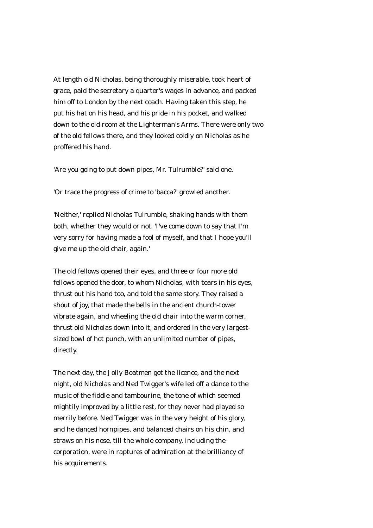At length old Nicholas, being thoroughly miserable, took heart of grace, paid the secretary a quarter's wages in advance, and packed him off to London by the next coach. Having taken this step, he put his hat on his head, and his pride in his pocket, and walked down to the old room at the Lighterman's Arms. There were only two of the old fellows there, and they looked coldly on Nicholas as he proffered his hand.

'Are you going to put down pipes, Mr. Tulrumble?' said one.

'Or trace the progress of crime to 'bacca?' growled another.

'Neither,' replied Nicholas Tulrumble, shaking hands with them both, whether they would or not. 'I've come down to say that I'm very sorry for having made a fool of myself, and that I hope you'll give me up the old chair, again.'

The old fellows opened their eyes, and three or four more old fellows opened the door, to whom Nicholas, with tears in his eyes, thrust out his hand too, and told the same story. They raised a shout of joy, that made the bells in the ancient church-tower vibrate again, and wheeling the old chair into the warm corner, thrust old Nicholas down into it, and ordered in the very largestsized bowl of hot punch, with an unlimited number of pipes, directly.

The next day, the Jolly Boatmen got the licence, and the next night, old Nicholas and Ned Twigger's wife led off a dance to the music of the fiddle and tambourine, the tone of which seemed mightily improved by a little rest, for they never had played so merrily before. Ned Twigger was in the very height of his glory, and he danced hornpipes, and balanced chairs on his chin, and straws on his nose, till the whole company, including the corporation, were in raptures of admiration at the brilliancy of his acquirements.